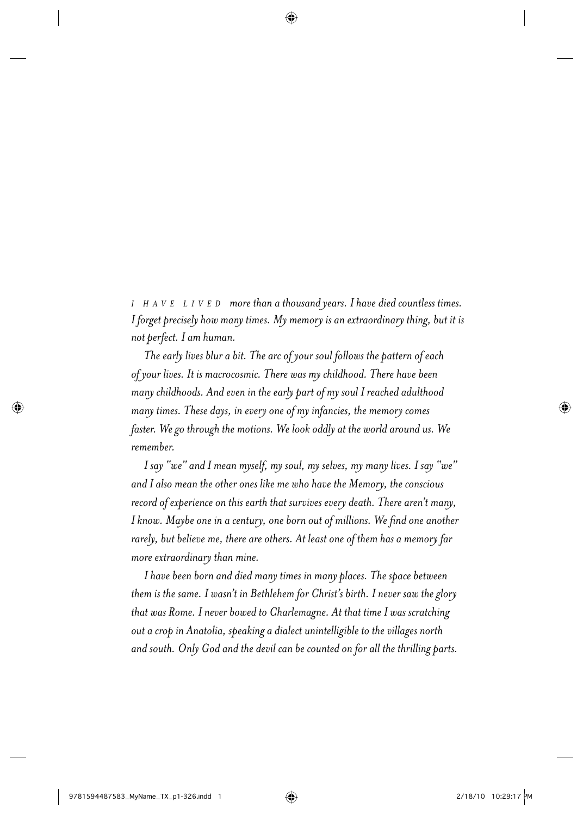*I HAVE LIVED more than a thousand years. I have died countless times. I forget precisely how many times. My memory is an extraordinary thing, but it is not perfect. I am human.*

⊕

*The early lives blur a bit. The arc of your soul follows the pattern of each of your lives. It is macrocosmic. There was my childhood. There have been many childhoods. And even in the early part of my soul I reached adulthood many times. These days, in every one of my infancies, the memory comes faster. We go through the motions. We look oddly at the world around us. We remember.*

*I say "we" and I mean myself, my soul, my selves, my many lives. I say "we" and I also mean the other ones like me who have the Memory, the conscious record of experience on this earth that survives every death. There aren't many, I know. Maybe one in a century, one born out of millions. We find one another rarely, but believe me, there are others. At least one of them has a memory far more extraordinary than mine.*

*I have been born and died many times in many places. The space between them is the same. I wasn't in Bethlehem for Christ's birth. I never saw the glory that was Rome. I never bowed to Charlemagne. At that time I was scratching out a crop in Anatolia, speaking a dialect unintelligible to the villages north and south. Only God and the devil can be counted on for all the thrilling parts.* 

9781594487583\_MyName\_TX\_p1-326.indd 1 78150 10:29:17 PM /18/10 10:29:17 PM /18/10 10:29:17 PM

⊕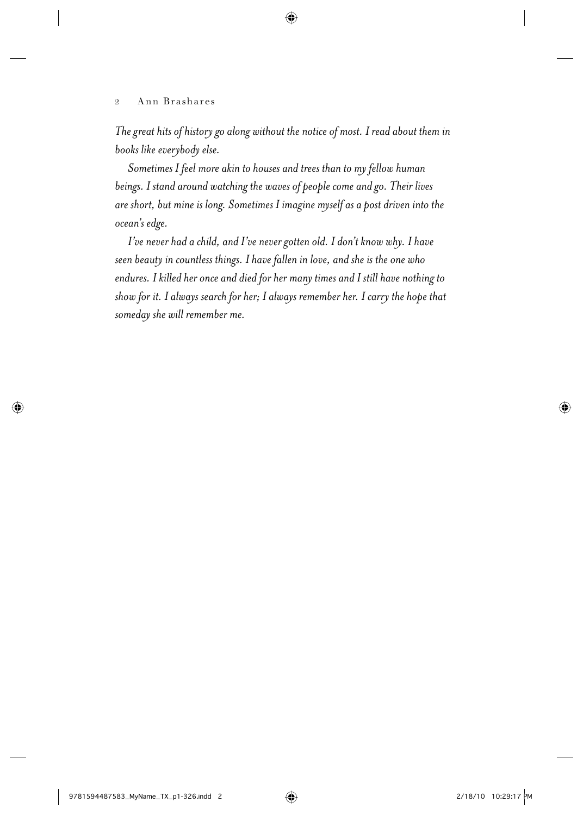*The great hits of history go along without the notice of most. I read about them in books like everybody else.*

⊕

*Sometimes I feel more akin to houses and trees than to my fellow human beings. I stand around watching the waves of people come and go. Their lives are short, but mine is long. Sometimes I imagine myself as a post driven into the ocean's edge.*

*I've never had a child, and I've never gotten old. I don't know why. I have seen beauty in countless things. I have fallen in love, and she is the one who endures. I killed her once and died for her many times and I still have nothing to show for it. I always search for her; I always remember her. I carry the hope that someday she will remember me.*

⊕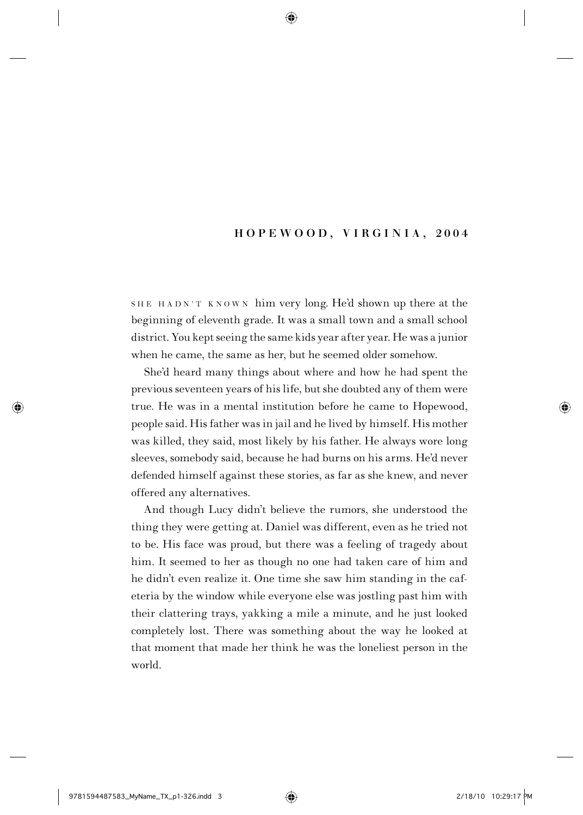### **HOPEWOOD, VIRGINIA, 2004**

SHE HADN'T KNOWN him very long. He'd shown up there at the beginning of eleventh grade. It was a small town and a small school district. You kept seeing the same kids year after year. He was a junior when he came, the same as her, but he seemed older somehow.

⊕

She'd heard many things about where and how he had spent the previous seventeen years of his life, but she doubted any of them were true. He was in a mental institution before he came to Hopewood, people said. His father was in jail and he lived by himself. His mother was killed, they said, most likely by his father. He always wore long sleeves, somebody said, because he had burns on his arms. He'd never defended himself against these stories, as far as she knew, and never offered any alternatives.

And though Lucy didn't believe the rumors, she understood the thing they were getting at. Daniel was different, even as he tried not to be. His face was proud, but there was a feeling of tragedy about him. It seemed to her as though no one had taken care of him and he didn't even realize it. One time she saw him standing in the cafeteria by the window while everyone else was jostling past him with their clattering trays, yakking a mile a minute, and he just looked completely lost. There was something about the way he looked at that moment that made her think he was the loneliest person in the world.

9781594487583\_MyName\_TX\_p1-326.indd 3 781594487583\_MyName\_TX\_p1-326.indd 3

⊕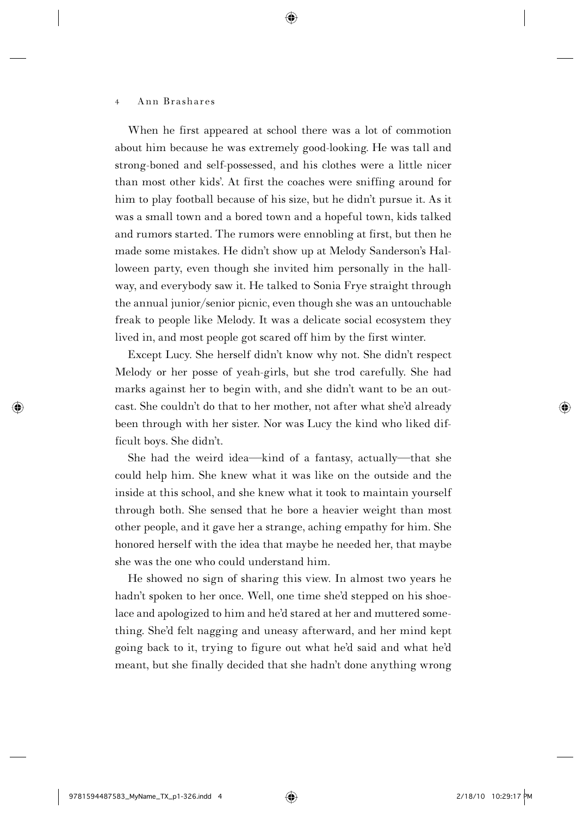When he first appeared at school there was a lot of commotion about him because he was extremely good-looking. He was tall and strong-boned and self-possessed, and his clothes were a little nicer than most other kids'. At first the coaches were sniffing around for him to play football because of his size, but he didn't pursue it. As it was a small town and a bored town and a hopeful town, kids talked and rumors started. The rumors were ennobling at first, but then he made some mistakes. He didn't show up at Melody Sanderson's Halloween party, even though she invited him personally in the hallway, and everybody saw it. He talked to Sonia Frye straight through the annual junior/senior picnic, even though she was an untouchable freak to people like Melody. It was a delicate social ecosystem they lived in, and most people got scared off him by the first winter.

⊕

Except Lucy. She herself didn't know why not. She didn't respect Melody or her posse of yeah-girls, but she trod carefully. She had marks against her to begin with, and she didn't want to be an outcast. She couldn't do that to her mother, not after what she'd already been through with her sister. Nor was Lucy the kind who liked difficult boys. She didn't.

She had the weird idea—kind of a fantasy, actually—that she could help him. She knew what it was like on the outside and the inside at this school, and she knew what it took to maintain yourself through both. She sensed that he bore a heavier weight than most other people, and it gave her a strange, aching empathy for him. She honored herself with the idea that maybe he needed her, that maybe she was the one who could understand him.

He showed no sign of sharing this view. In almost two years he hadn't spoken to her once. Well, one time she'd stepped on his shoelace and apologized to him and he'd stared at her and muttered something. She'd felt nagging and uneasy afterward, and her mind kept going back to it, trying to figure out what he'd said and what he'd meant, but she finally decided that she hadn't done anything wrong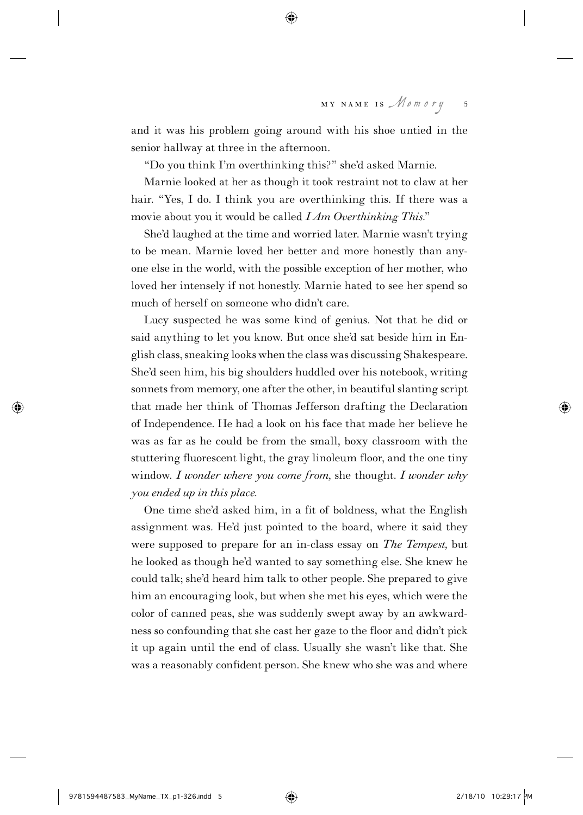MY NAME IS Memory 5

and it was his problem going around with his shoe untied in the senior hallway at three in the afternoon.

"Do you think I'm overthinking this?" she'd asked Marnie.

⊕

Marnie looked at her as though it took restraint not to claw at her hair. "Yes, I do. I think you are overthinking this. If there was a movie about you it would be called *I Am Overthinking This.*"

She'd laughed at the time and worried later. Marnie wasn't trying to be mean. Marnie loved her better and more honestly than anyone else in the world, with the possible exception of her mother, who loved her intensely if not honestly. Marnie hated to see her spend so much of herself on someone who didn't care.

Lucy suspected he was some kind of genius. Not that he did or said anything to let you know. But once she'd sat beside him in English class, sneaking looks when the class was discussing Shakespeare. She'd seen him, his big shoulders huddled over his notebook, writing sonnets from memory, one after the other, in beautiful slanting script that made her think of Thomas Jefferson drafting the Declaration of Independence. He had a look on his face that made her believe he was as far as he could be from the small, boxy classroom with the stuttering fluorescent light, the gray linoleum floor, and the one tiny window. *I wonder where you come from,* she thought. *I wonder why you ended up in this place.*

One time she'd asked him, in a fit of boldness, what the English assignment was. He'd just pointed to the board, where it said they were supposed to prepare for an in-class essay on *The Tempest,* but he looked as though he'd wanted to say something else. She knew he could talk; she'd heard him talk to other people. She prepared to give him an encouraging look, but when she met his eyes, which were the color of canned peas, she was suddenly swept away by an awkwardness so confounding that she cast her gaze to the floor and didn't pick it up again until the end of class. Usually she wasn't like that. She was a reasonably confident person. She knew who she was and where

⊕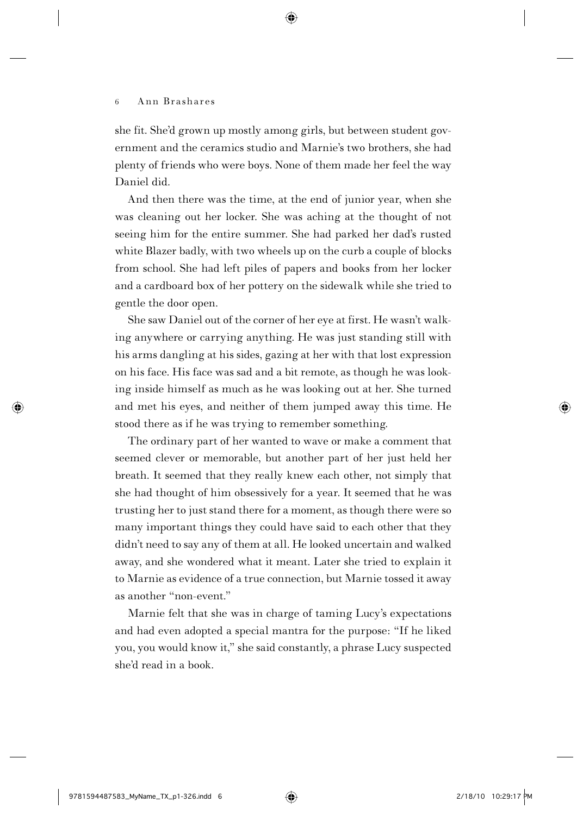she fit. She'd grown up mostly among girls, but between student government and the ceramics studio and Marnie's two brothers, she had plenty of friends who were boys. None of them made her feel the way Daniel did.

⊕

And then there was the time, at the end of junior year, when she was cleaning out her locker. She was aching at the thought of not seeing him for the entire summer. She had parked her dad's rusted white Blazer badly, with two wheels up on the curb a couple of blocks from school. She had left piles of papers and books from her locker and a cardboard box of her pottery on the sidewalk while she tried to gentle the door open.

She saw Daniel out of the corner of her eye at first. He wasn't walking anywhere or carrying anything. He was just standing still with his arms dangling at his sides, gazing at her with that lost expression on his face. His face was sad and a bit remote, as though he was looking inside himself as much as he was looking out at her. She turned and met his eyes, and neither of them jumped away this time. He stood there as if he was trying to remember something.

The ordinary part of her wanted to wave or make a comment that seemed clever or memorable, but another part of her just held her breath. It seemed that they really knew each other, not simply that she had thought of him obsessively for a year. It seemed that he was trusting her to just stand there for a moment, as though there were so many important things they could have said to each other that they didn't need to say any of them at all. He looked uncertain and walked away, and she wondered what it meant. Later she tried to explain it to Marnie as evidence of a true connection, but Marnie tossed it away as another "non-event."

Marnie felt that she was in charge of taming Lucy's expectations and had even adopted a special mantra for the purpose: "If he liked you, you would know it," she said constantly, a phrase Lucy suspected she'd read in a book.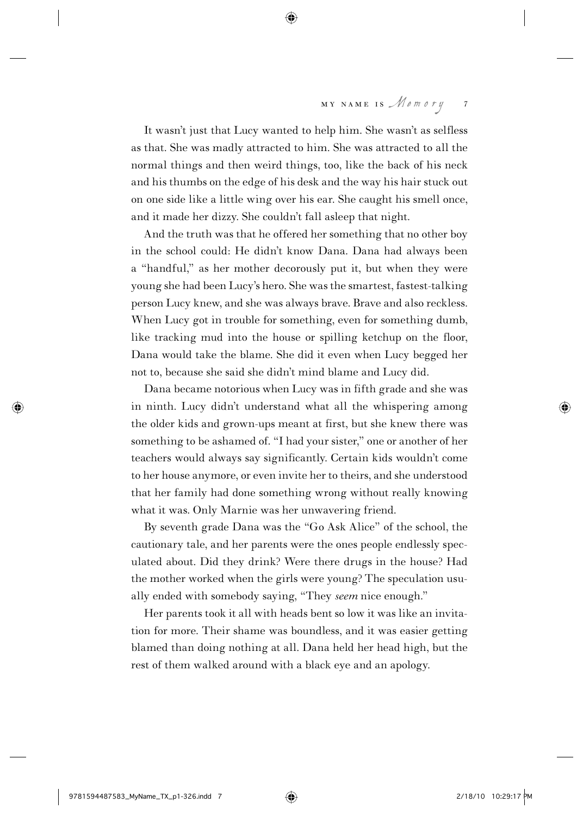# $MY$  NAME IS  $\mathcal{M}$ e mory 7

It wasn't just that Lucy wanted to help him. She wasn't as selfless as that. She was madly attracted to him. She was attracted to all the normal things and then weird things, too, like the back of his neck and his thumbs on the edge of his desk and the way his hair stuck out on one side like a little wing over his ear. She caught his smell once, and it made her dizzy. She couldn't fall asleep that night.

⊕

And the truth was that he offered her something that no other boy in the school could: He didn't know Dana. Dana had always been a "handful," as her mother decorously put it, but when they were young she had been Lucy's hero. She was the smartest, fastest-talking person Lucy knew, and she was always brave. Brave and also reckless. When Lucy got in trouble for something, even for something dumb, like tracking mud into the house or spilling ketchup on the floor, Dana would take the blame. She did it even when Lucy begged her not to, because she said she didn't mind blame and Lucy did.

Dana became notorious when Lucy was in fifth grade and she was in ninth. Lucy didn't understand what all the whispering among the older kids and grown-ups meant at first, but she knew there was something to be ashamed of. "I had your sister," one or another of her teachers would always say significantly. Certain kids wouldn't come to her house anymore, or even invite her to theirs, and she understood that her family had done something wrong without really knowing what it was. Only Marnie was her unwavering friend.

By seventh grade Dana was the "Go Ask Alice" of the school, the cautionary tale, and her parents were the ones people endlessly speculated about. Did they drink? Were there drugs in the house? Had the mother worked when the girls were young? The speculation usually ended with somebody saying, "They *seem* nice enough."

Her parents took it all with heads bent so low it was like an invitation for more. Their shame was boundless, and it was easier getting blamed than doing nothing at all. Dana held her head high, but the rest of them walked around with a black eye and an apology.

⊕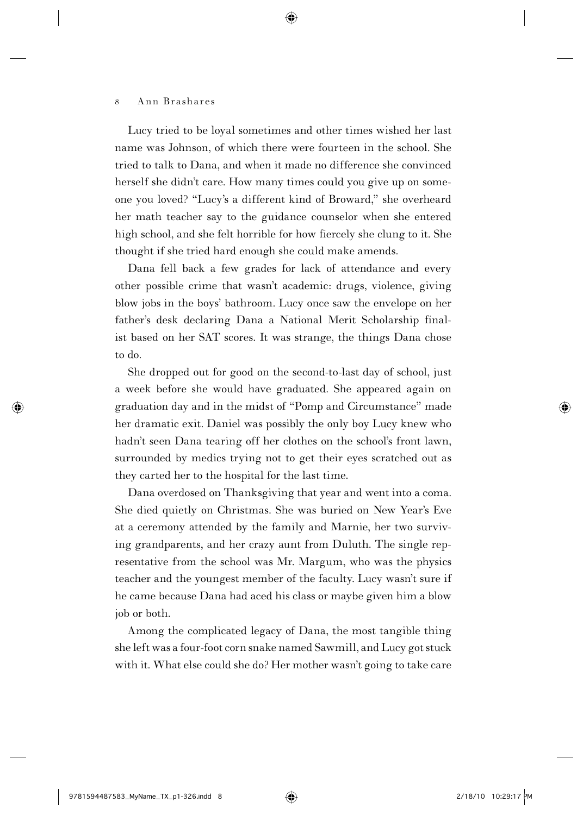Lucy tried to be loyal sometimes and other times wished her last name was Johnson, of which there were fourteen in the school. She tried to talk to Dana, and when it made no difference she convinced herself she didn't care. How many times could you give up on someone you loved? "Lucy's a different kind of Broward," she overheard her math teacher say to the guidance counselor when she entered high school, and she felt horrible for how fiercely she clung to it. She thought if she tried hard enough she could make amends.

⊕

Dana fell back a few grades for lack of attendance and every other possible crime that wasn't academic: drugs, violence, giving blow jobs in the boys' bathroom. Lucy once saw the envelope on her father's desk declaring Dana a National Merit Scholarship finalist based on her SAT scores. It was strange, the things Dana chose to do.

She dropped out for good on the second-to-last day of school, just a week before she would have graduated. She appeared again on graduation day and in the midst of "Pomp and Circumstance" made her dramatic exit. Daniel was possibly the only boy Lucy knew who hadn't seen Dana tearing off her clothes on the school's front lawn, surrounded by medics trying not to get their eyes scratched out as they carted her to the hospital for the last time.

Dana overdosed on Thanksgiving that year and went into a coma. She died quietly on Christmas. She was buried on New Year's Eve at a ceremony attended by the family and Marnie, her two surviving grandparents, and her crazy aunt from Duluth. The single representative from the school was Mr. Margum, who was the physics teacher and the youngest member of the faculty. Lucy wasn't sure if he came because Dana had aced his class or maybe given him a blow job or both.

Among the complicated legacy of Dana, the most tangible thing she left was a four-foot corn snake named Sawmill, and Lucy got stuck with it. What else could she do? Her mother wasn't going to take care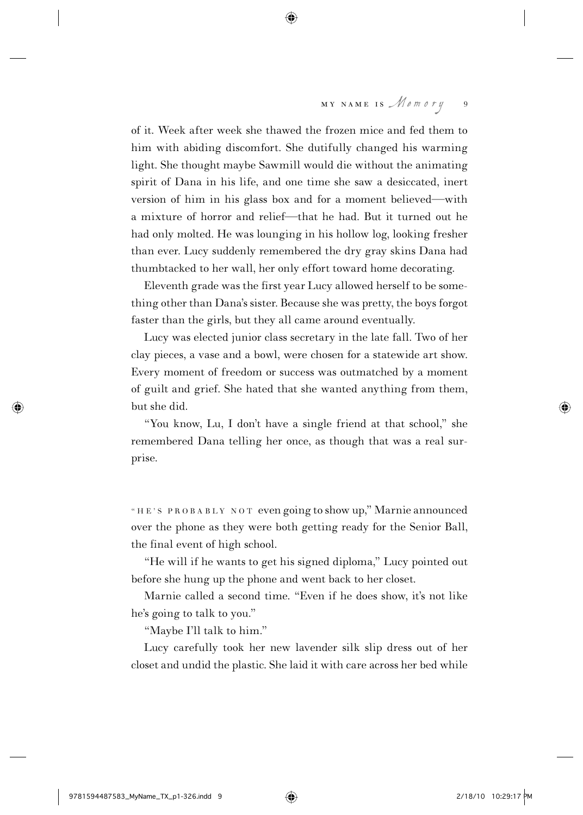# $MY$  NAME IS  $Memory = 9$

of it. Week after week she thawed the frozen mice and fed them to him with abiding discomfort. She dutifully changed his warming light. She thought maybe Sawmill would die without the animating spirit of Dana in his life, and one time she saw a desiccated, inert version of him in his glass box and for a moment believed—with a mixture of horror and relief—that he had. But it turned out he had only molted. He was lounging in his hollow log, looking fresher than ever. Lucy suddenly remembered the dry gray skins Dana had thumbtacked to her wall, her only effort toward home decorating.

⊕

Eleventh grade was the first year Lucy allowed herself to be something other than Dana's sister. Because she was pretty, the boys forgot faster than the girls, but they all came around eventually.

Lucy was elected junior class secretary in the late fall. Two of her clay pieces, a vase and a bowl, were chosen for a statewide art show. Every moment of freedom or success was outmatched by a moment of guilt and grief. She hated that she wanted anything from them, but she did.

"You know, Lu, I don't have a single friend at that school," she remembered Dana telling her once, as though that was a real surprise.

"HE'S PROBABLY NOT even going to show up," Marnie announced over the phone as they were both getting ready for the Senior Ball, the final event of high school.

"He will if he wants to get his signed diploma," Lucy pointed out before she hung up the phone and went back to her closet.

Marnie called a second time. "Even if he does show, it's not like he's going to talk to you."

"Maybe I'll talk to him."

Lucy carefully took her new lavender silk slip dress out of her closet and undid the plastic. She laid it with care across her bed while

↔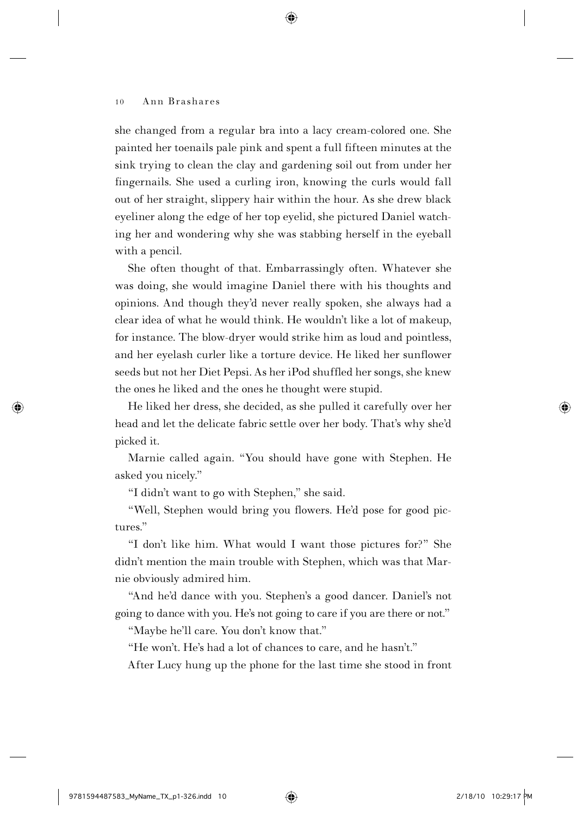she changed from a regular bra into a lacy cream-colored one. She painted her toenails pale pink and spent a full fifteen minutes at the sink trying to clean the clay and gardening soil out from under her fingernails. She used a curling iron, knowing the curls would fall out of her straight, slippery hair within the hour. As she drew black eyeliner along the edge of her top eyelid, she pictured Daniel watching her and wondering why she was stabbing herself in the eyeball with a pencil.

⊕

She often thought of that. Embarrassingly often. Whatever she was doing, she would imagine Daniel there with his thoughts and opinions. And though they'd never really spoken, she always had a clear idea of what he would think. He wouldn't like a lot of makeup, for instance. The blow-dryer would strike him as loud and pointless, and her eyelash curler like a torture device. He liked her sunflower seeds but not her Diet Pepsi. As her iPod shuffled her songs, she knew the ones he liked and the ones he thought were stupid.

He liked her dress, she decided, as she pulled it carefully over her head and let the delicate fabric settle over her body. That's why she'd picked it.

Marnie called again. "You should have gone with Stephen. He asked you nicely."

"I didn't want to go with Stephen," she said.

"Well, Stephen would bring you flowers. He'd pose for good pictures."

"I don't like him. What would I want those pictures for?" She didn't mention the main trouble with Stephen, which was that Marnie obviously admired him.

"And he'd dance with you. Stephen's a good dancer. Daniel's not going to dance with you. He's not going to care if you are there or not."

"Maybe he'll care. You don't know that."

"He won't. He's had a lot of chances to care, and he hasn't."

After Lucy hung up the phone for the last time she stood in front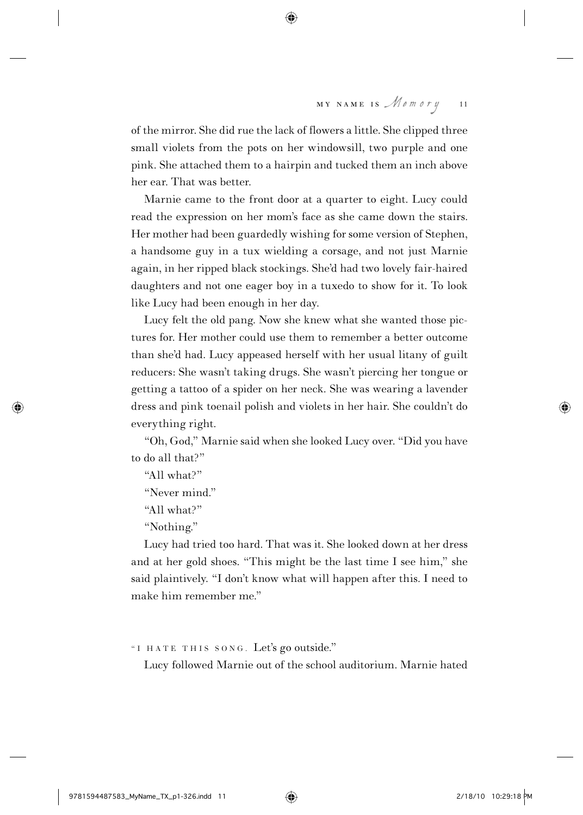MY NAME IS  $\mathcal{M}$ e mory 11

of the mirror. She did rue the lack of flowers a little. She clipped three small violets from the pots on her windowsill, two purple and one pink. She attached them to a hairpin and tucked them an inch above her ear. That was better.

⊕

Marnie came to the front door at a quarter to eight. Lucy could read the expression on her mom's face as she came down the stairs. Her mother had been guardedly wishing for some version of Stephen, a handsome guy in a tux wielding a corsage, and not just Marnie again, in her ripped black stockings. She'd had two lovely fair-haired daughters and not one eager boy in a tuxedo to show for it. To look like Lucy had been enough in her day.

Lucy felt the old pang. Now she knew what she wanted those pictures for. Her mother could use them to remember a better outcome than she'd had. Lucy appeased herself with her usual litany of guilt reducers: She wasn't taking drugs. She wasn't piercing her tongue or getting a tattoo of a spider on her neck. She was wearing a lavender dress and pink toenail polish and violets in her hair. She couldn't do everything right.

"Oh, God," Marnie said when she looked Lucy over. "Did you have to do all that?"

"All what?"

⊕

"Never mind."

"All what?"

"Nothing."

Lucy had tried too hard. That was it. She looked down at her dress and at her gold shoes. "This might be the last time I see him," she said plaintively. "I don't know what will happen after this. I need to make him remember me."

"I HATE THIS SONG. Let's go outside."

Lucy followed Marnie out of the school auditorium. Marnie hated

9781594487583\_MyName\_TX\_p1-326.indd 11  $\bigoplus$  /18/10 10:29:18 PM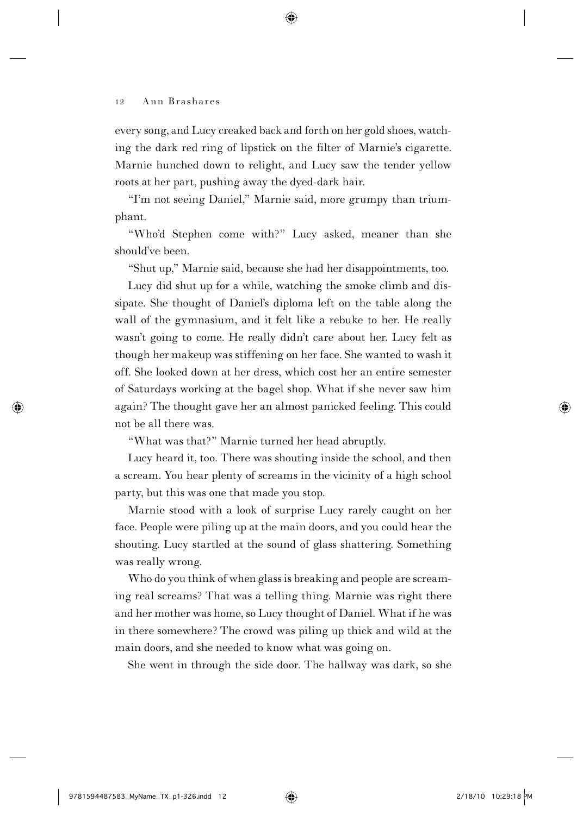every song, and Lucy creaked back and forth on her gold shoes, watching the dark red ring of lipstick on the filter of Marnie's cigarette. Marnie hunched down to relight, and Lucy saw the tender yellow roots at her part, pushing away the dyed-dark hair.

⊕

"I'm not seeing Daniel," Marnie said, more grumpy than triumphant.

"Who'd Stephen come with?" Lucy asked, meaner than she should've been.

"Shut up," Marnie said, because she had her disappointments, too.

Lucy did shut up for a while, watching the smoke climb and dissipate. She thought of Daniel's diploma left on the table along the wall of the gymnasium, and it felt like a rebuke to her. He really wasn't going to come. He really didn't care about her. Lucy felt as though her makeup was stiffening on her face. She wanted to wash it off. She looked down at her dress, which cost her an entire semester of Saturdays working at the bagel shop. What if she never saw him again? The thought gave her an almost panicked feeling. This could not be all there was.

"What was that?" Marnie turned her head abruptly.

Lucy heard it, too. There was shouting inside the school, and then a scream. You hear plenty of screams in the vicinity of a high school party, but this was one that made you stop.

Marnie stood with a look of surprise Lucy rarely caught on her face. People were piling up at the main doors, and you could hear the shouting. Lucy startled at the sound of glass shattering. Something was really wrong.

Who do you think of when glass is breaking and people are screaming real screams? That was a telling thing. Marnie was right there and her mother was home, so Lucy thought of Daniel. What if he was in there somewhere? The crowd was piling up thick and wild at the main doors, and she needed to know what was going on.

She went in through the side door. The hallway was dark, so she

↔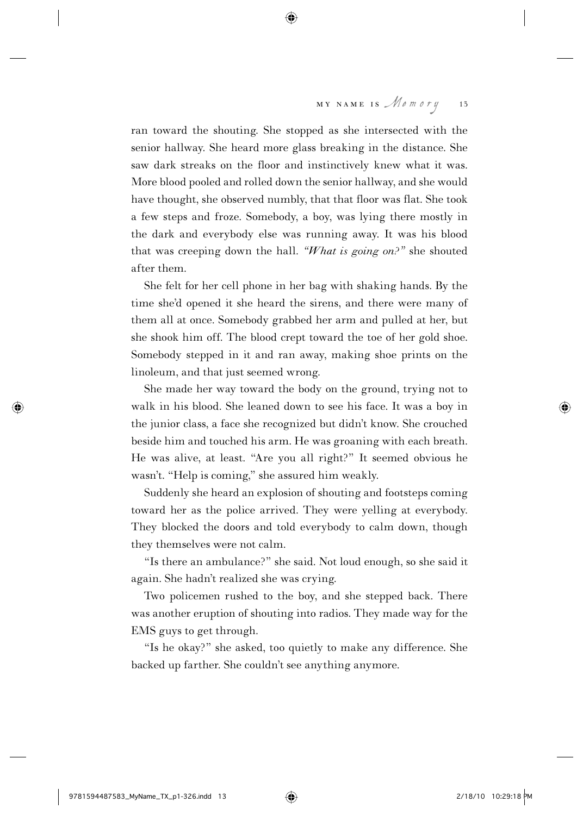# MY NAME IS  $\mathcal{M}$ e mory 13

ran toward the shouting. She stopped as she intersected with the senior hallway. She heard more glass breaking in the distance. She saw dark streaks on the floor and instinctively knew what it was. More blood pooled and rolled down the senior hallway, and she would have thought, she observed numbly, that that floor was flat. She took a few steps and froze. Somebody, a boy, was lying there mostly in the dark and everybody else was running away. It was his blood that was creeping down the hall. *"What is going on?"* she shouted after them.

⊕

She felt for her cell phone in her bag with shaking hands. By the time she'd opened it she heard the sirens, and there were many of them all at once. Somebody grabbed her arm and pulled at her, but she shook him off. The blood crept toward the toe of her gold shoe. Somebody stepped in it and ran away, making shoe prints on the linoleum, and that just seemed wrong.

She made her way toward the body on the ground, trying not to walk in his blood. She leaned down to see his face. It was a boy in the junior class, a face she recognized but didn't know. She crouched beside him and touched his arm. He was groaning with each breath. He was alive, at least. "Are you all right?" It seemed obvious he wasn't. "Help is coming," she assured him weakly.

Suddenly she heard an explosion of shouting and footsteps coming toward her as the police arrived. They were yelling at everybody. They blocked the doors and told everybody to calm down, though they themselves were not calm.

"Is there an ambulance?" she said. Not loud enough, so she said it again. She hadn't realized she was crying.

Two policemen rushed to the boy, and she stepped back. There was another eruption of shouting into radios. They made way for the EMS guys to get through.

"Is he okay?" she asked, too quietly to make any difference. She backed up farther. She couldn't see anything anymore.

⊕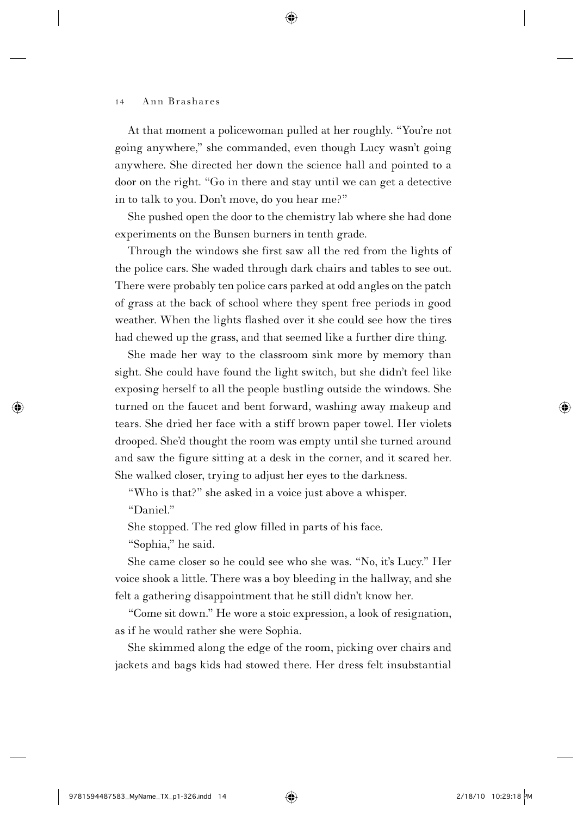At that moment a policewoman pulled at her roughly. "You're not going anywhere," she commanded, even though Lucy wasn't going anywhere. She directed her down the science hall and pointed to a door on the right. "Go in there and stay until we can get a detective in to talk to you. Don't move, do you hear me?"

⊕

She pushed open the door to the chemistry lab where she had done experiments on the Bunsen burners in tenth grade.

Through the windows she first saw all the red from the lights of the police cars. She waded through dark chairs and tables to see out. There were probably ten police cars parked at odd angles on the patch of grass at the back of school where they spent free periods in good weather. When the lights flashed over it she could see how the tires had chewed up the grass, and that seemed like a further dire thing.

She made her way to the classroom sink more by memory than sight. She could have found the light switch, but she didn't feel like exposing herself to all the people bustling outside the windows. She turned on the faucet and bent forward, washing away makeup and tears. She dried her face with a stiff brown paper towel. Her violets drooped. She'd thought the room was empty until she turned around and saw the figure sitting at a desk in the corner, and it scared her. She walked closer, trying to adjust her eyes to the darkness.

"Who is that?" she asked in a voice just above a whisper. "Daniel."

She stopped. The red glow filled in parts of his face.

"Sophia," he said.

She came closer so he could see who she was. "No, it's Lucy." Her voice shook a little. There was a boy bleeding in the hallway, and she felt a gathering disappointment that he still didn't know her.

"Come sit down." He wore a stoic expression, a look of resignation, as if he would rather she were Sophia.

She skimmed along the edge of the room, picking over chairs and jackets and bags kids had stowed there. Her dress felt insubstantial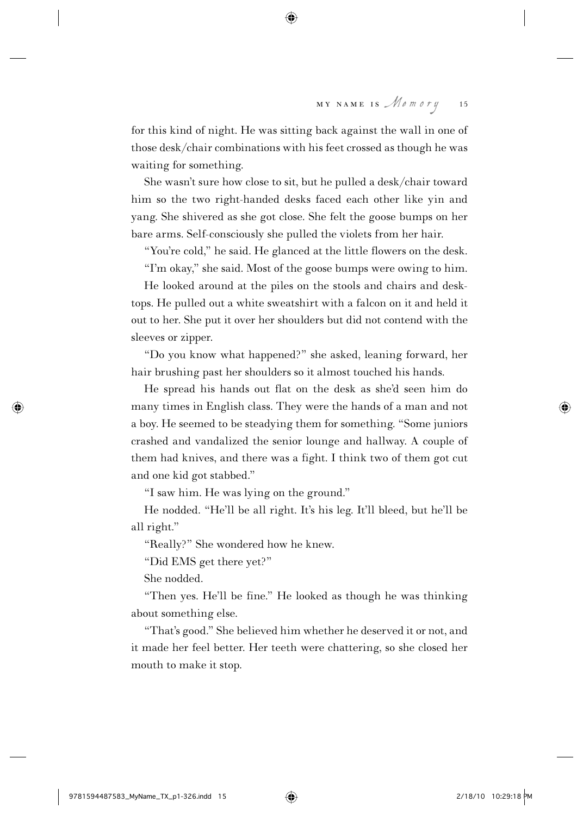MY NAME IS  $\mathcal{M}$ e mory 15

for this kind of night. He was sitting back against the wall in one of those desk/chair combinations with his feet crossed as though he was waiting for something.

⊕

She wasn't sure how close to sit, but he pulled a desk/chair toward him so the two right-handed desks faced each other like yin and yang. She shivered as she got close. She felt the goose bumps on her bare arms. Self-consciously she pulled the violets from her hair.

"You're cold," he said. He glanced at the little flowers on the desk.

"I'm okay," she said. Most of the goose bumps were owing to him.

He looked around at the piles on the stools and chairs and desktops. He pulled out a white sweatshirt with a falcon on it and held it out to her. She put it over her shoulders but did not contend with the sleeves or zipper.

"Do you know what happened?" she asked, leaning forward, her hair brushing past her shoulders so it almost touched his hands.

He spread his hands out flat on the desk as she'd seen him do many times in English class. They were the hands of a man and not a boy. He seemed to be steadying them for something. "Some juniors crashed and vandalized the senior lounge and hallway. A couple of them had knives, and there was a fight. I think two of them got cut and one kid got stabbed."

"I saw him. He was lying on the ground."

He nodded. "He'll be all right. It's his leg. It'll bleed, but he'll be all right."

"Really?" She wondered how he knew.

"Did EMS get there yet?"

She nodded.

"Then yes. He'll be fine." He looked as though he was thinking about something else.

"That's good." She believed him whether he deserved it or not, and it made her feel better. Her teeth were chattering, so she closed her mouth to make it stop.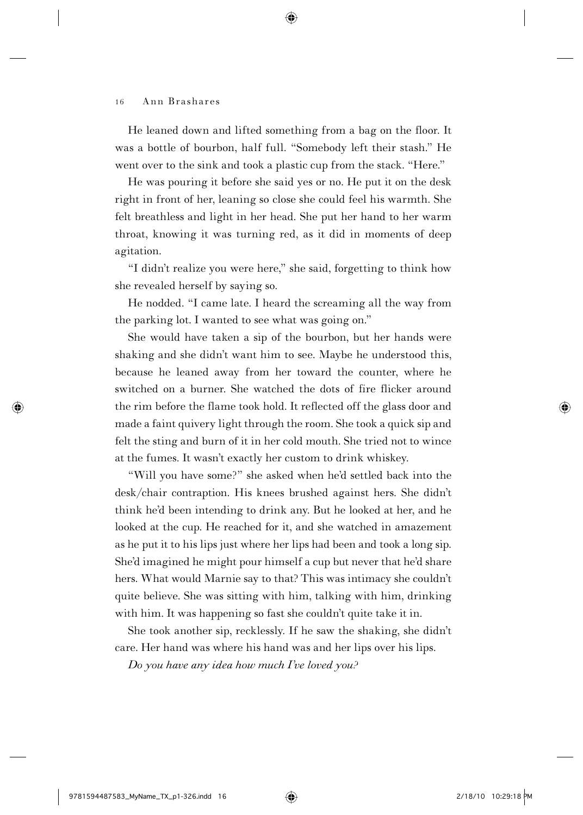He leaned down and lifted something from a bag on the floor. It was a bottle of bourbon, half full. "Somebody left their stash." He went over to the sink and took a plastic cup from the stack. "Here."

⊕

He was pouring it before she said yes or no. He put it on the desk right in front of her, leaning so close she could feel his warmth. She felt breathless and light in her head. She put her hand to her warm throat, knowing it was turning red, as it did in moments of deep agitation.

"I didn't realize you were here," she said, forgetting to think how she revealed herself by saying so.

He nodded. "I came late. I heard the screaming all the way from the parking lot. I wanted to see what was going on."

She would have taken a sip of the bourbon, but her hands were shaking and she didn't want him to see. Maybe he understood this, because he leaned away from her toward the counter, where he switched on a burner. She watched the dots of fire flicker around the rim before the flame took hold. It reflected off the glass door and made a faint quivery light through the room. She took a quick sip and felt the sting and burn of it in her cold mouth. She tried not to wince at the fumes. It wasn't exactly her custom to drink whiskey.

"Will you have some?" she asked when he'd settled back into the desk/chair contraption. His knees brushed against hers. She didn't think he'd been intending to drink any. But he looked at her, and he looked at the cup. He reached for it, and she watched in amazement as he put it to his lips just where her lips had been and took a long sip. She'd imagined he might pour himself a cup but never that he'd share hers. What would Marnie say to that? This was intimacy she couldn't quite believe. She was sitting with him, talking with him, drinking with him. It was happening so fast she couldn't quite take it in.

She took another sip, recklessly. If he saw the shaking, she didn't care. Her hand was where his hand was and her lips over his lips.

*Do you have any idea how much I've loved you?*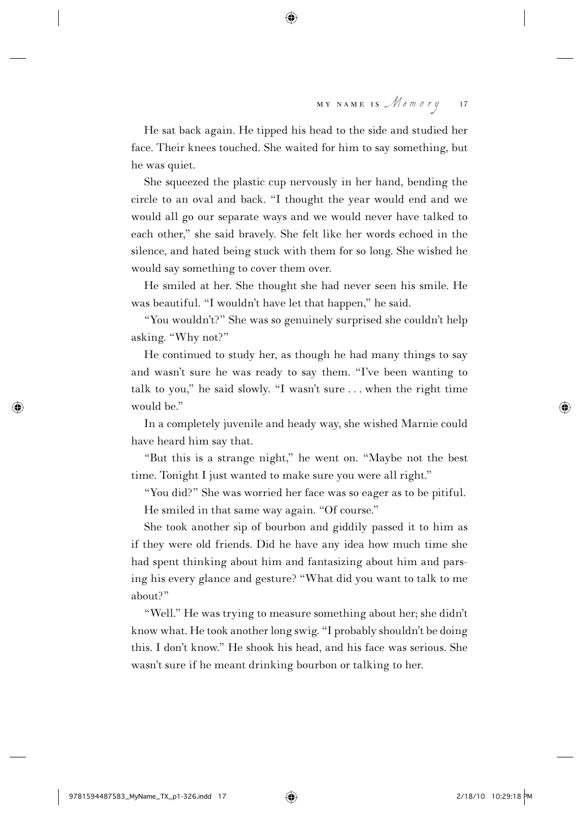⊕

MY NAME IS  $\mathcal{M}$ e mory 17

He sat back again. He tipped his head to the side and studied her face. Their knees touched. She waited for him to say something, but he was quiet.

She squeezed the plastic cup nervously in her hand, bending the circle to an oval and back. "I thought the year would end and we would all go our separate ways and we would never have talked to each other," she said bravely. She felt like her words echoed in the silence, and hated being stuck with them for so long. She wished he would say something to cover them over.

He smiled at her. She thought she had never seen his smile. He was beautiful. "I wouldn't have let that happen," he said.

"You wouldn't?" She was so genuinely surprised she couldn't help asking. "Why not?"

He continued to study her, as though he had many things to say and wasn't sure he was ready to say them. "I've been wanting to talk to you," he said slowly. "I wasn't sure . . . when the right time would be."

In a completely juvenile and heady way, she wished Marnie could have heard him say that.

"But this is a strange night," he went on. "Maybe not the best time. Tonight I just wanted to make sure you were all right."

"You did?" She was worried her face was so eager as to be pitiful. He smiled in that same way again. "Of course."

She took another sip of bourbon and giddily passed it to him as if they were old friends. Did he have any idea how much time she had spent thinking about him and fantasizing about him and parsing his every glance and gesture? "What did you want to talk to me about?"

"Well." He was trying to measure something about her; she didn't know what. He took another long swig. "I probably shouldn't be doing this. I don't know." He shook his head, and his face was serious. She wasn't sure if he meant drinking bourbon or talking to her.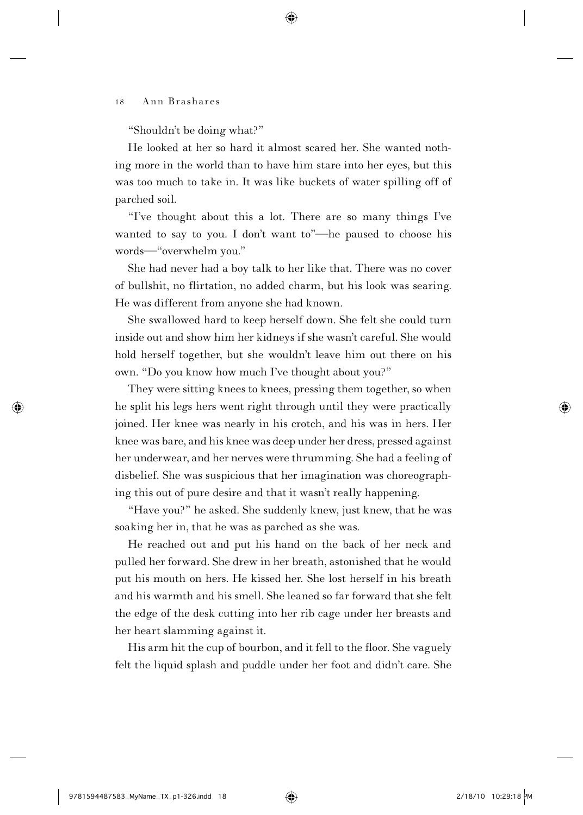"Shouldn't be doing what?"

He looked at her so hard it almost scared her. She wanted nothing more in the world than to have him stare into her eyes, but this was too much to take in. It was like buckets of water spilling off of parched soil.

⊕

"I've thought about this a lot. There are so many things I've wanted to say to you. I don't want to"—he paused to choose his words—"overwhelm you."

She had never had a boy talk to her like that. There was no cover of bullshit, no flirtation, no added charm, but his look was searing. He was different from anyone she had known.

She swallowed hard to keep herself down. She felt she could turn inside out and show him her kidneys if she wasn't careful. She would hold herself together, but she wouldn't leave him out there on his own. "Do you know how much I've thought about you?"

They were sitting knees to knees, pressing them together, so when he split his legs hers went right through until they were practically joined. Her knee was nearly in his crotch, and his was in hers. Her knee was bare, and his knee was deep under her dress, pressed against her underwear, and her nerves were thrumming. She had a feeling of disbelief. She was suspicious that her imagination was choreographing this out of pure desire and that it wasn't really happening.

"Have you?" he asked. She suddenly knew, just knew, that he was soaking her in, that he was as parched as she was.

He reached out and put his hand on the back of her neck and pulled her forward. She drew in her breath, astonished that he would put his mouth on hers. He kissed her. She lost herself in his breath and his warmth and his smell. She leaned so far forward that she felt the edge of the desk cutting into her rib cage under her breasts and her heart slamming against it.

His arm hit the cup of bourbon, and it fell to the floor. She vaguely felt the liquid splash and puddle under her foot and didn't care. She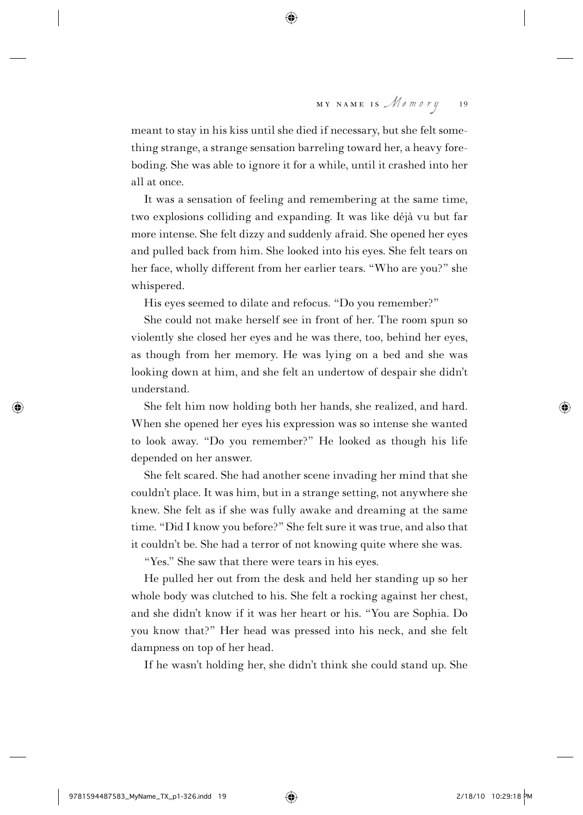⊕

MY NAME IS  $\mathcal{M}$ e mory 19

meant to stay in his kiss until she died if necessary, but she felt something strange, a strange sensation barreling toward her, a heavy foreboding. She was able to ignore it for a while, until it crashed into her all at once.

It was a sensation of feeling and remembering at the same time, two explosions colliding and expanding. It was like déjà vu but far more intense. She felt dizzy and suddenly afraid. She opened her eyes and pulled back from him. She looked into his eyes. She felt tears on her face, wholly different from her earlier tears. "Who are you?" she whispered.

His eyes seemed to dilate and refocus. "Do you remember?"

She could not make herself see in front of her. The room spun so violently she closed her eyes and he was there, too, behind her eyes, as though from her memory. He was lying on a bed and she was looking down at him, and she felt an undertow of despair she didn't understand.

She felt him now holding both her hands, she realized, and hard. When she opened her eyes his expression was so intense she wanted to look away. "Do you remember?" He looked as though his life depended on her answer.

She felt scared. She had another scene invading her mind that she couldn't place. It was him, but in a strange setting, not anywhere she knew. She felt as if she was fully awake and dreaming at the same time. "Did I know you before?" She felt sure it was true, and also that it couldn't be. She had a terror of not knowing quite where she was.

"Yes." She saw that there were tears in his eyes.

He pulled her out from the desk and held her standing up so her whole body was clutched to his. She felt a rocking against her chest, and she didn't know if it was her heart or his. "You are Sophia. Do you know that?" Her head was pressed into his neck, and she felt dampness on top of her head.

If he wasn't holding her, she didn't think she could stand up. She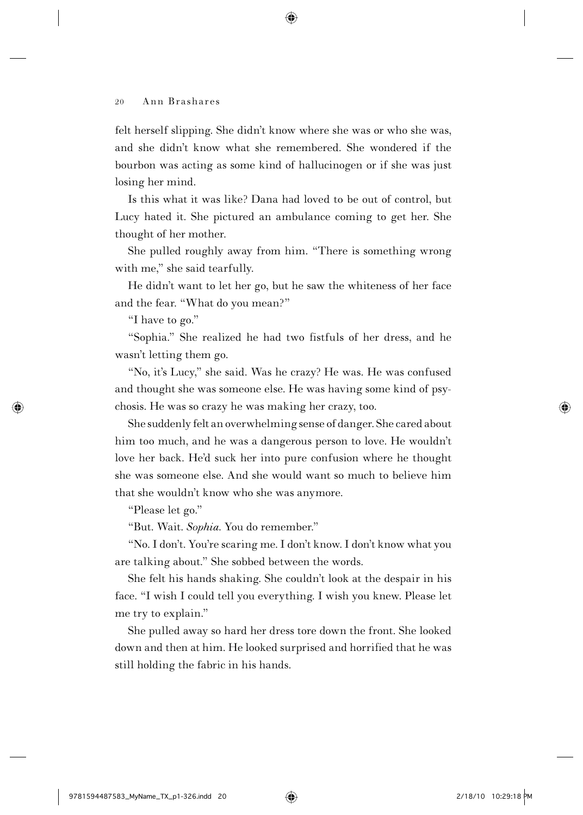felt herself slipping. She didn't know where she was or who she was, and she didn't know what she remembered. She wondered if the bourbon was acting as some kind of hallucinogen or if she was just losing her mind.

⊕

Is this what it was like? Dana had loved to be out of control, but Lucy hated it. She pictured an ambulance coming to get her. She thought of her mother.

She pulled roughly away from him. "There is something wrong with me," she said tearfully.

He didn't want to let her go, but he saw the whiteness of her face and the fear. "What do you mean?"

"I have to go."

"Sophia." She realized he had two fistfuls of her dress, and he wasn't letting them go.

"No, it's Lucy," she said. Was he crazy? He was. He was confused and thought she was someone else. He was having some kind of psychosis. He was so crazy he was making her crazy, too.

She suddenly felt an overwhelming sense of danger. She cared about him too much, and he was a dangerous person to love. He wouldn't love her back. He'd suck her into pure confusion where he thought she was someone else. And she would want so much to believe him that she wouldn't know who she was anymore.

"Please let go."

"But. Wait. *Sophia.* You do remember."

"No. I don't. You're scaring me. I don't know. I don't know what you are talking about." She sobbed between the words.

She felt his hands shaking. She couldn't look at the despair in his face. "I wish I could tell you everything. I wish you knew. Please let me try to explain."

She pulled away so hard her dress tore down the front. She looked down and then at him. He looked surprised and horrified that he was still holding the fabric in his hands.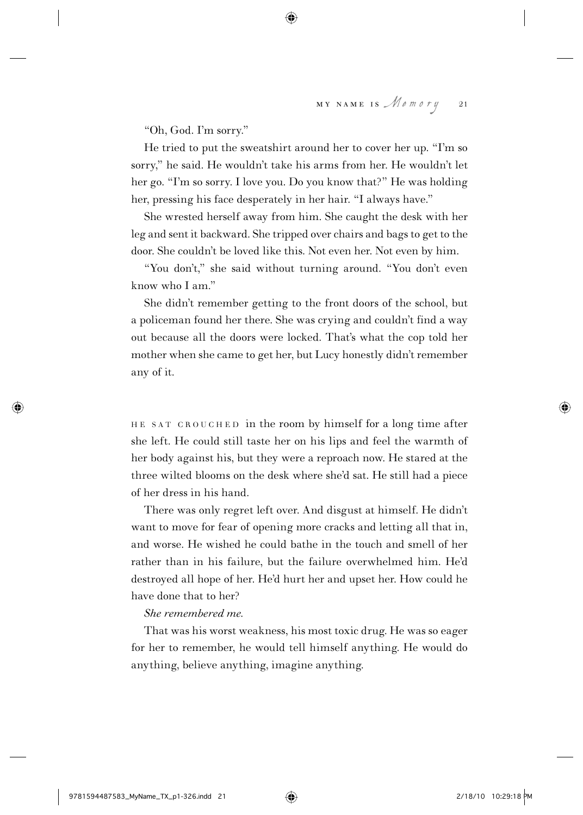# MY NAME IS  $\mathcal{M}$ e mory 21

"Oh, God. I'm sorry."

He tried to put the sweatshirt around her to cover her up. "I'm so sorry," he said. He wouldn't take his arms from her. He wouldn't let her go. "I'm so sorry. I love you. Do you know that?" He was holding her, pressing his face desperately in her hair. "I always have."

⊕

She wrested herself away from him. She caught the desk with her leg and sent it backward. She tripped over chairs and bags to get to the door. She couldn't be loved like this. Not even her. Not even by him.

"You don't," she said without turning around. "You don't even know who I am."

She didn't remember getting to the front doors of the school, but a policeman found her there. She was crying and couldn't find a way out because all the doors were locked. That's what the cop told her mother when she came to get her, but Lucy honestly didn't remember any of it.

HE SAT CROUCHED in the room by himself for a long time after she left. He could still taste her on his lips and feel the warmth of her body against his, but they were a reproach now. He stared at the three wilted blooms on the desk where she'd sat. He still had a piece of her dress in his hand.

There was only regret left over. And disgust at himself. He didn't want to move for fear of opening more cracks and letting all that in, and worse. He wished he could bathe in the touch and smell of her rather than in his failure, but the failure overwhelmed him. He'd destroyed all hope of her. He'd hurt her and upset her. How could he have done that to her?

#### *She remembered me.*

That was his worst weakness, his most toxic drug. He was so eager for her to remember, he would tell himself anything. He would do anything, believe anything, imagine anything.

⊕

↔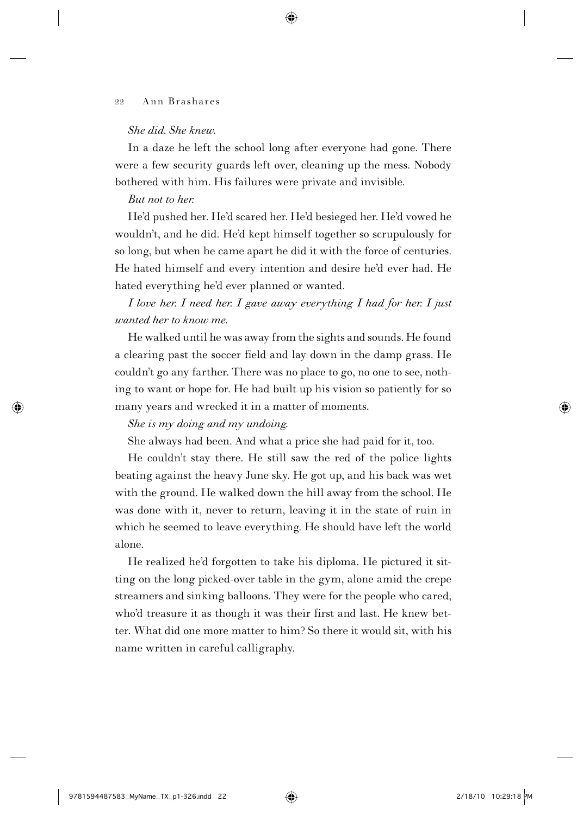# *She did. She knew.*

In a daze he left the school long after everyone had gone. There were a few security guards left over, cleaning up the mess. Nobody bothered with him. His failures were private and invisible.

⊕

#### *But not to her.*

He'd pushed her. He'd scared her. He'd besieged her. He'd vowed he wouldn't, and he did. He'd kept himself together so scrupulously for so long, but when he came apart he did it with the force of centuries. He hated himself and every intention and desire he'd ever had. He hated everything he'd ever planned or wanted.

# *I love her. I need her. I gave away everything I had for her. I just wanted her to know me.*

He walked until he was away from the sights and sounds. He found a clearing past the soccer field and lay down in the damp grass. He couldn't go any farther. There was no place to go, no one to see, nothing to want or hope for. He had built up his vision so patiently for so many years and wrecked it in a matter of moments.

#### *She is my doing and my undoing.*

She always had been. And what a price she had paid for it, too.

He couldn't stay there. He still saw the red of the police lights beating against the heavy June sky. He got up, and his back was wet with the ground. He walked down the hill away from the school. He was done with it, never to return, leaving it in the state of ruin in which he seemed to leave everything. He should have left the world alone.

He realized he'd forgotten to take his diploma. He pictured it sitting on the long picked-over table in the gym, alone amid the crepe streamers and sinking balloons. They were for the people who cared, who'd treasure it as though it was their first and last. He knew better. What did one more matter to him? So there it would sit, with his name written in careful calligraphy.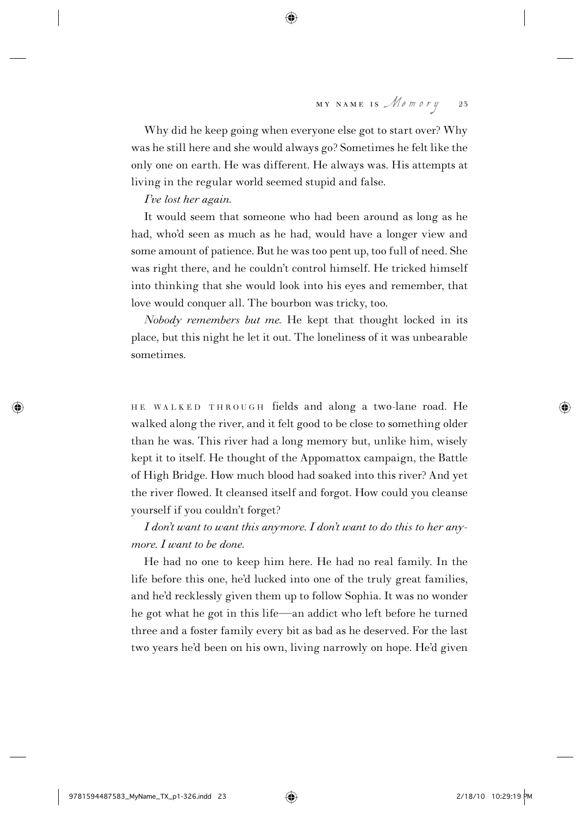# MY NAME IS *Memory* 23

Why did he keep going when everyone else got to start over? Why was he still here and she would always go? Sometimes he felt like the only one on earth. He was different. He always was. His attempts at living in the regular world seemed stupid and false.

⊕

# *I've lost her again.*

It would seem that someone who had been around as long as he had, who'd seen as much as he had, would have a longer view and some amount of patience. But he was too pent up, too full of need. She was right there, and he couldn't control himself. He tricked himself into thinking that she would look into his eyes and remember, that love would conquer all. The bourbon was tricky, too.

*Nobody remembers but me.* He kept that thought locked in its place, but this night he let it out. The loneliness of it was unbearable sometimes.

HE WALKED THROUGH fields and along a two-lane road. He walked along the river, and it felt good to be close to something older than he was. This river had a long memory but, unlike him, wisely kept it to itself. He thought of the Appomattox campaign, the Battle of High Bridge. How much blood had soaked into this river? And yet the river flowed. It cleansed itself and forgot. How could you cleanse yourself if you couldn't forget?

# *I don't want to want this anymore. I don't want to do this to her anymore. I want to be done.*

He had no one to keep him here. He had no real family. In the life before this one, he'd lucked into one of the truly great families, and he'd recklessly given them up to follow Sophia. It was no wonder he got what he got in this life—an addict who left before he turned three and a foster family every bit as bad as he deserved. For the last two years he'd been on his own, living narrowly on hope. He'd given

⊕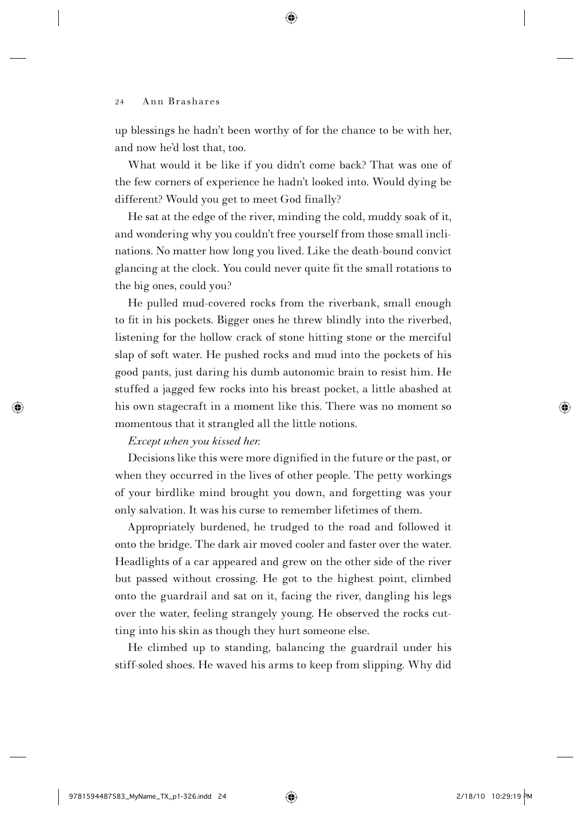up blessings he hadn't been worthy of for the chance to be with her, and now he'd lost that, too.

⊕

What would it be like if you didn't come back? That was one of the few corners of experience he hadn't looked into. Would dying be different? Would you get to meet God finally?

He sat at the edge of the river, minding the cold, muddy soak of it, and wondering why you couldn't free yourself from those small inclinations. No matter how long you lived. Like the death-bound convict glancing at the clock. You could never quite fit the small rotations to the big ones, could you?

He pulled mud-covered rocks from the riverbank, small enough to fit in his pockets. Bigger ones he threw blindly into the riverbed, listening for the hollow crack of stone hitting stone or the merciful slap of soft water. He pushed rocks and mud into the pockets of his good pants, just daring his dumb autonomic brain to resist him. He stuffed a jagged few rocks into his breast pocket, a little abashed at his own stagecraft in a moment like this. There was no moment so momentous that it strangled all the little notions.

# *Except when you kissed her.*

Decisions like this were more dignified in the future or the past, or when they occurred in the lives of other people. The petty workings of your birdlike mind brought you down, and forgetting was your only salvation. It was his curse to remember lifetimes of them.

Appropriately burdened, he trudged to the road and followed it onto the bridge. The dark air moved cooler and faster over the water. Headlights of a car appeared and grew on the other side of the river but passed without crossing. He got to the highest point, climbed onto the guardrail and sat on it, facing the river, dangling his legs over the water, feeling strangely young. He observed the rocks cutting into his skin as though they hurt someone else.

He climbed up to standing, balancing the guardrail under his stiff-soled shoes. He waved his arms to keep from slipping. Why did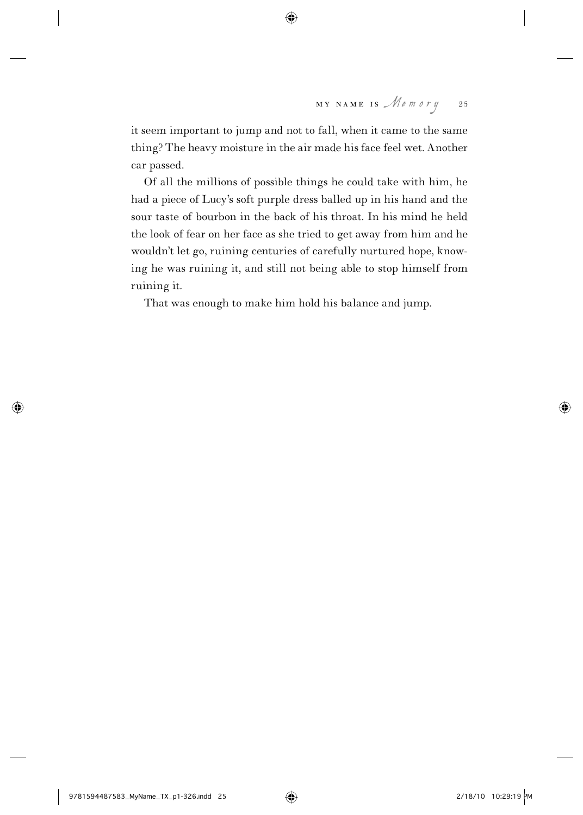⊕

my name is Mem o ry<sup>25</sup>

it seem important to jump and not to fall, when it came to the same thing? The heavy moisture in the air made his face feel wet. Another car passed.

Of all the millions of possible things he could take with him, he had a piece of Lucy's soft purple dress balled up in his hand and the sour taste of bourbon in the back of his throat. In his mind he held the look of fear on her face as she tried to get away from him and he wouldn't let go, ruining centuries of carefully nurtured hope, knowing he was ruining it, and still not being able to stop himself from ruining it.

That was enough to make him hold his balance and jump.

⊕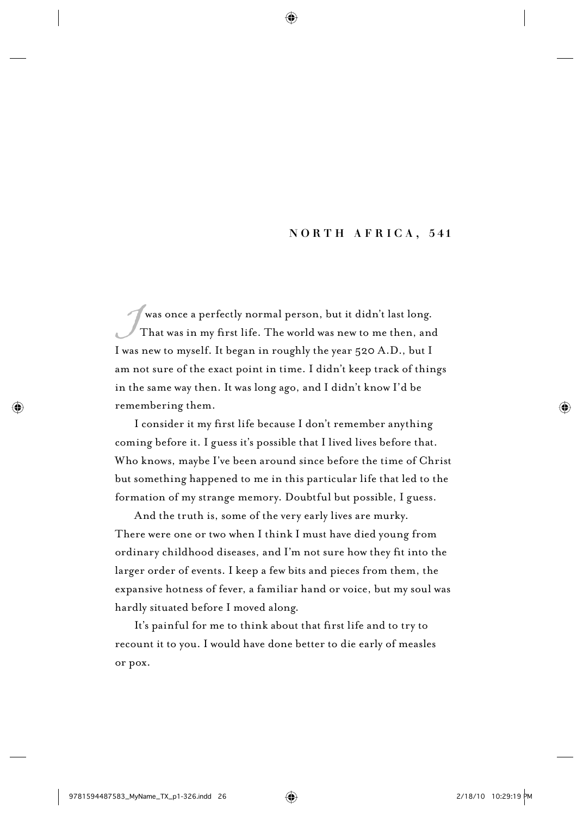#### **NORT H A F R IC A , 541**

I was once a perfectly normal person, but it didn't last long. That was in my first life. The world was new to me then, and I was new to myself. It began in roughly the year 520 A.D., but I am not sure of the exact point in time. I didn't keep track of things in the same way then. It was long ago, and I didn't know I'd be remembering them.

⊕

I consider it my first life because I don't remember anything coming before it. I guess it's possible that I lived lives before that. Who knows, maybe I've been around since before the time of Christ but something happened to me in this particular life that led to the formation of my strange memory. Doubtful but possible, I guess.

And the truth is, some of the very early lives are murky. There were one or two when I think I must have died young from ordinary childhood diseases, and I'm not sure how they fit into the larger order of events. I keep a few bits and pieces from them, the expansive hotness of fever, a familiar hand or voice, but my soul was hardly situated before I moved along.

It's painful for me to think about that first life and to try to recount it to you. I would have done better to die early of measles or pox.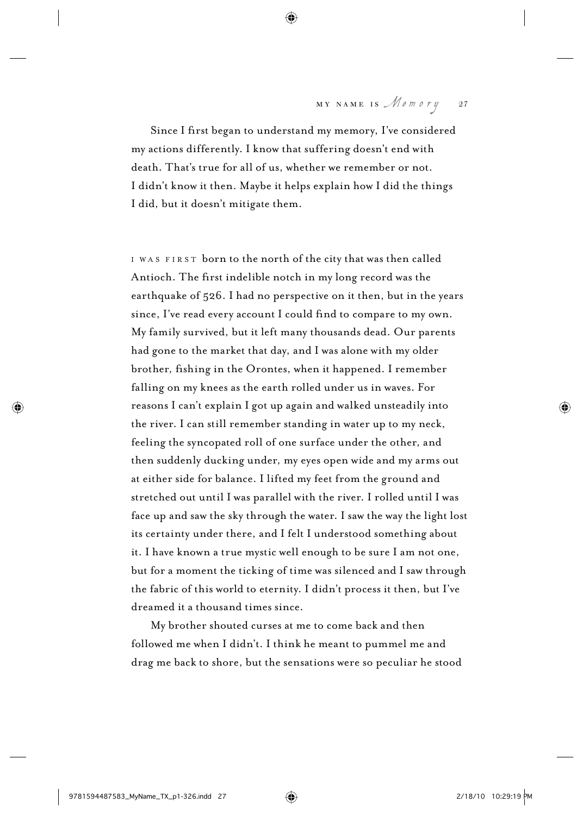# MY NAME IS Memory 27

Since I first began to understand my memory, I've considered my actions differently. I know that suffering doesn't end with death. That's true for all of us, whether we remember or not. I didn't know it then. Maybe it helps explain how I did the things I did, but it doesn't mitigate them.

⊕

I WAS FIRST born to the north of the city that was then called Antioch. The first indelible notch in my long record was the earthquake of 526. I had no perspective on it then, but in the years since, I've read every account I could find to compare to my own. My family survived, but it left many thousands dead. Our parents had gone to the market that day, and I was alone with my older brother, fishing in the Orontes, when it happened. I remember falling on my knees as the earth rolled under us in waves. For reasons I can't explain I got up again and walked unsteadily into the river. I can still remember standing in water up to my neck, feeling the syncopated roll of one surface under the other, and then suddenly ducking under, my eyes open wide and my arms out at either side for balance. I lifted my feet from the ground and stretched out until I was parallel with the river. I rolled until I was face up and saw the sky through the water. I saw the way the light lost its certainty under there, and I felt I understood something about it. I have known a true mystic well enough to be sure I am not one, but for a moment the ticking of time was silenced and I saw through the fabric of this world to eternity. I didn't process it then, but I've dreamed it a thousand times since.

My brother shouted curses at me to come back and then followed me when I didn't. I think he meant to pummel me and drag me back to shore, but the sensations were so peculiar he stood

9781594487583\_MyName\_TX\_p1-326.indd 27 **78159 10:29:19 PM /18/10 10:29:19 P**M /18/10 10:29:19 PM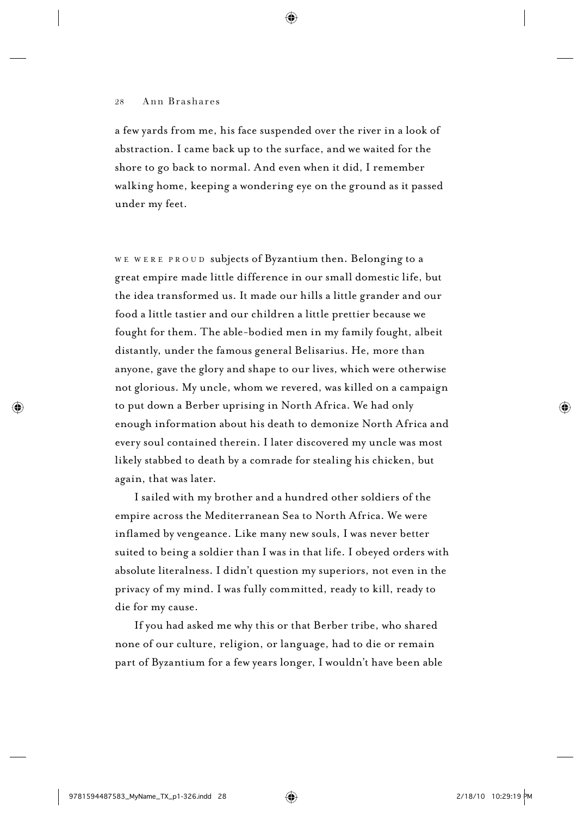a few yards from me, his face suspended over the river in a look of abstraction. I came back up to the surface, and we waited for the shore to go back to normal. And even when it did, I remember walking home, keeping a wondering eye on the ground as it passed under my feet.

⊕

WE WERE PROUD subjects of Byzantium then. Belonging to a great empire made little difference in our small domestic life, but the idea transformed us. It made our hills a little grander and our food a little tastier and our children a little prettier because we fought for them. The able-bodied men in my family fought, albeit distantly, under the famous general Belisarius. He, more than anyone, gave the glory and shape to our lives, which were otherwise not glorious. My uncle, whom we revered, was killed on a campaign to put down a Berber uprising in North Africa. We had only enough information about his death to demonize North Africa and every soul contained therein. I later discovered my uncle was most likely stabbed to death by a comrade for stealing his chicken, but again, that was later.

I sailed with my brother and a hundred other soldiers of the empire across the Mediterranean Sea to North Africa. We were infl amed by vengeance. Like many new souls, I was never better suited to being a soldier than I was in that life. I obeyed orders with absolute literalness. I didn't question my superiors, not even in the privacy of my mind. I was fully committed, ready to kill, ready to die for my cause.

If you had asked me why this or that Berber tribe, who shared none of our culture, religion, or language, had to die or remain part of Byzantium for a few years longer, I wouldn't have been able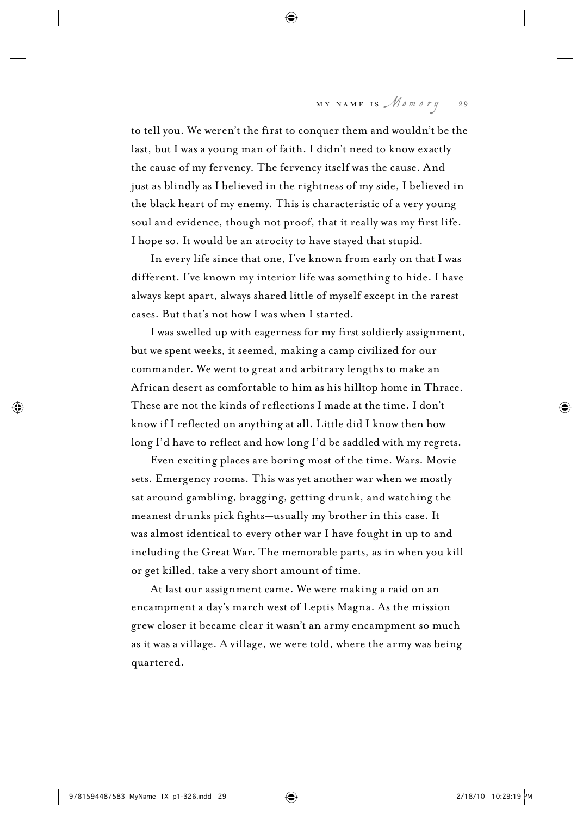# MY NAME IS Memory 29

to tell you. We weren't the first to conquer them and wouldn't be the last, but I was a young man of faith. I didn't need to know exactly the cause of my fervency. The fervency itself was the cause. And just as blindly as I believed in the rightness of my side, I believed in the black heart of my enemy. This is characteristic of a very young soul and evidence, though not proof, that it really was my first life. I hope so. It would be an atrocity to have stayed that stupid.

⊕

In every life since that one, I've known from early on that I was different. I've known my interior life was something to hide. I have always kept apart, always shared little of myself except in the rarest cases. But that's not how I was when I started.

I was swelled up with eagerness for my first soldierly assignment, but we spent weeks, it seemed, making a camp civilized for our commander. We went to great and arbitrary lengths to make an African desert as comfortable to him as his hilltop home in Thrace. These are not the kinds of reflections I made at the time. I don't know if I reflected on anything at all. Little did I know then how long I'd have to reflect and how long I'd be saddled with my regrets.

Even exciting places are boring most of the time. Wars. Movie sets. Emergency rooms. This was yet another war when we mostly sat around gambling, bragging, getting drunk, and watching the meanest drunks pick fights—usually my brother in this case. It was almost identical to every other war I have fought in up to and including the Great War. The memorable parts, as in when you kill or get killed, take a very short amount of time.

At last our assignment came. We were making a raid on an encampment a day's march west of Leptis Magna. As the mission grew closer it became clear it wasn't an army encampment so much as it was a village. A village, we were told, where the army was being quartered.

9781594487583\_MyName\_TX\_p1-326.indd 29  $\bigoplus$  781594487583\_MyName\_TX\_p1-326.indd 29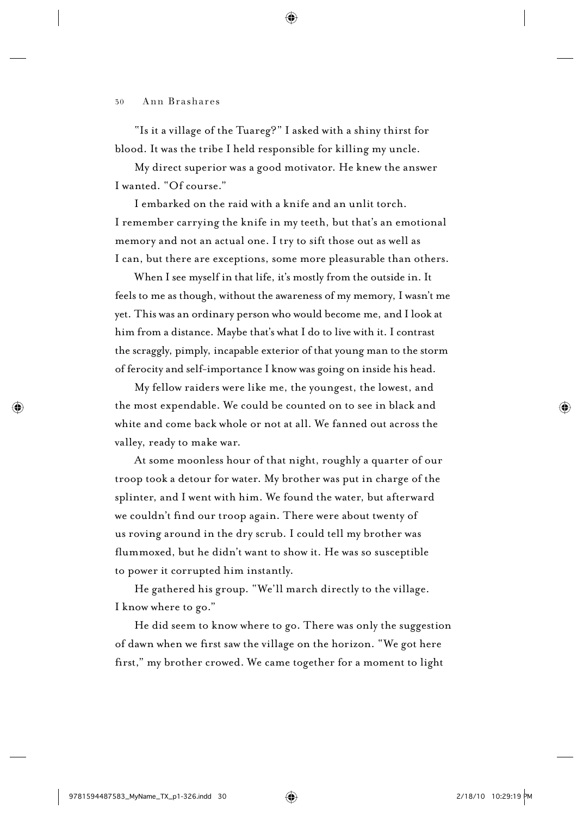"Is it a village of the Tuareg?" I asked with a shiny thirst for blood. It was the tribe I held responsible for killing my uncle.

⊕

My direct superior was a good motivator. He knew the answer I wanted. "Of course."

I embarked on the raid with a knife and an unlit torch. I remember carrying the knife in my teeth, but that's an emotional memory and not an actual one. I try to sift those out as well as I can, but there are exceptions, some more pleasurable than others.

When I see myself in that life, it's mostly from the outside in. It feels to me as though, without the awareness of my memory, I wasn't me yet. This was an ordinary person who would become me, and I look at him from a distance. Maybe that's what I do to live with it. I contrast the scraggly, pimply, incapable exterior of that young man to the storm of ferocity and self-importance I know was going on inside his head.

My fellow raiders were like me, the youngest, the lowest, and the most expendable. We could be counted on to see in black and white and come back whole or not at all. We fanned out across the valley, ready to make war.

At some moonless hour of that night, roughly a quarter of our troop took a detour for water. My brother was put in charge of the splinter, and I went with him. We found the water, but afterward we couldn't find our troop again. There were about twenty of us roving around in the dry scrub. I could tell my brother was flummoxed, but he didn't want to show it. He was so susceptible to power it corrupted him instantly.

He gathered his group. "We'll march directly to the village. I know where to go."

He did seem to know where to go. There was only the suggestion of dawn when we first saw the village on the horizon. "We got here first," my brother crowed. We came together for a moment to light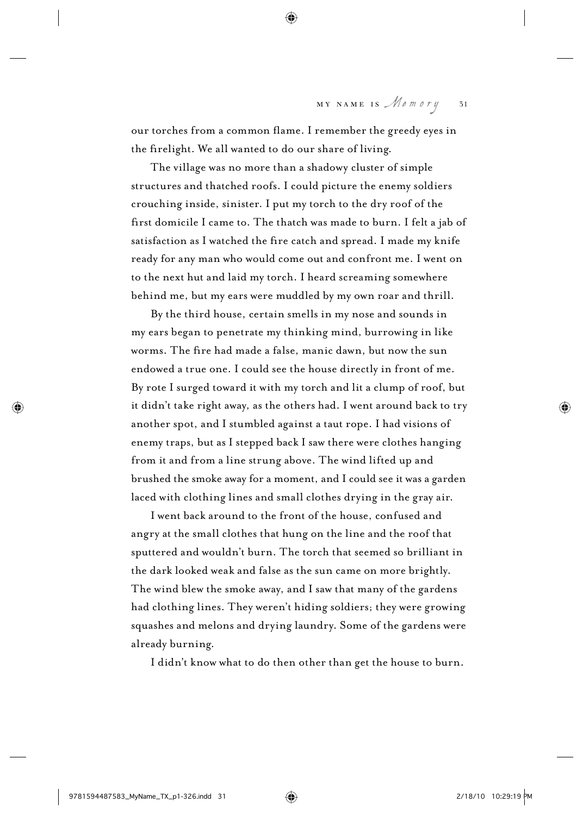$MY$  NAME IS  $Memory$  31

our torches from a common flame. I remember the greedy eyes in the firelight. We all wanted to do our share of living.

⊕

The village was no more than a shadowy cluster of simple structures and thatched roofs. I could picture the enemy soldiers crouching inside, sinister. I put my torch to the dry roof of the first domicile I came to. The thatch was made to burn. I felt a jab of satisfaction as I watched the fire catch and spread. I made my knife ready for any man who would come out and confront me. I went on to the next hut and laid my torch. I heard screaming somewhere behind me, but my ears were muddled by my own roar and thrill.

By the third house, certain smells in my nose and sounds in my ears began to penetrate my thinking mind, burrowing in like worms. The fire had made a false, manic dawn, but now the sun endowed a true one. I could see the house directly in front of me. By rote I surged toward it with my torch and lit a clump of roof, but it didn't take right away, as the others had. I went around back to try another spot, and I stumbled against a taut rope. I had visions of enemy traps, but as I stepped back I saw there were clothes hanging from it and from a line strung above. The wind lifted up and brushed the smoke away for a moment, and I could see it was a garden laced with clothing lines and small clothes drying in the gray air.

I went back around to the front of the house, confused and angry at the small clothes that hung on the line and the roof that sputtered and wouldn't burn. The torch that seemed so brilliant in the dark looked weak and false as the sun came on more brightly. The wind blew the smoke away, and I saw that many of the gardens had clothing lines. They weren't hiding soldiers; they were growing squashes and melons and drying laundry. Some of the gardens were already burning.

I didn't know what to do then other than get the house to burn.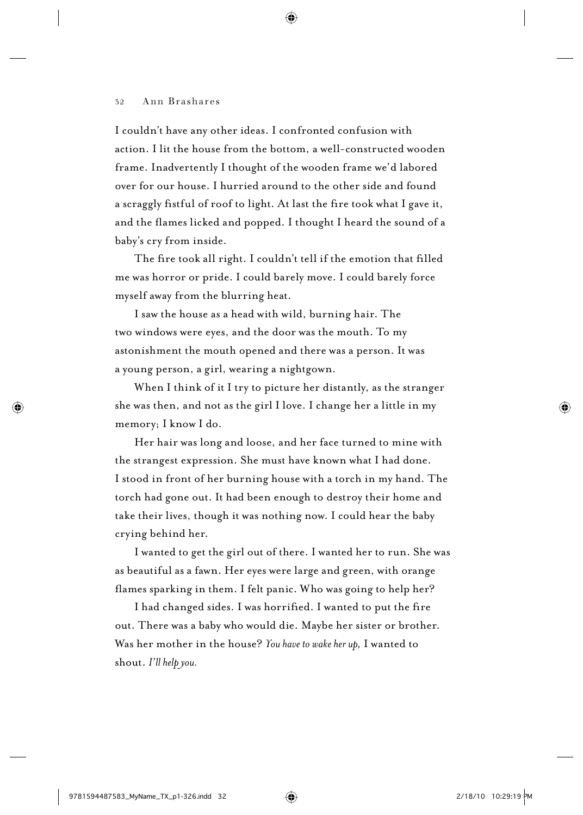I couldn't have any other ideas. I confronted confusion with action. I lit the house from the bottom, a well-constructed wooden frame. Inadvertently I thought of the wooden frame we'd labored over for our house. I hurried around to the other side and found a scraggly fistful of roof to light. At last the fire took what I gave it, and the flames licked and popped. I thought I heard the sound of a baby's cry from inside.

⊕

The fire took all right. I couldn't tell if the emotion that filled me was horror or pride. I could barely move. I could barely force myself away from the blurring heat.

I saw the house as a head with wild, burning hair. The two windows were eyes, and the door was the mouth. To my astonishment the mouth opened and there was a person. It was a young person, a girl, wearing a nightgown.

When I think of it I try to picture her distantly, as the stranger she was then, and not as the girl I love. I change her a little in my memory; I know I do.

Her hair was long and loose, and her face turned to mine with the strangest expression. She must have known what I had done. I stood in front of her burning house with a torch in my hand. The torch had gone out. It had been enough to destroy their home and take their lives, though it was nothing now. I could hear the baby crying behind her.

I wanted to get the girl out of there. I wanted her to run. She was as beautiful as a fawn. Her eyes were large and green, with orange flames sparking in them. I felt panic. Who was going to help her?

I had changed sides. I was horrified. I wanted to put the fire out. There was a baby who would die. Maybe her sister or brother. Was her mother in the house? *You have to wake her up,* I wanted to shout. *I'll help you.*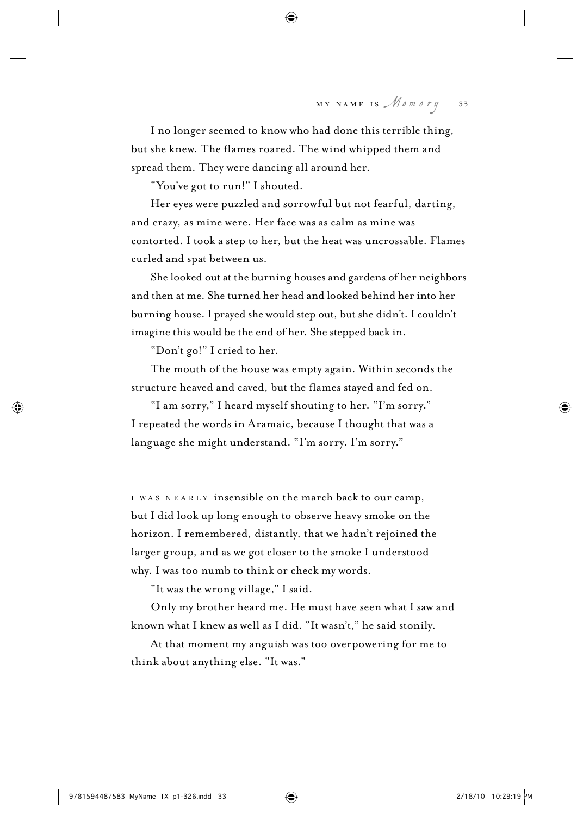$MY$  NAME IS  $Memory$  33

I no longer seemed to know who had done this terrible thing, but she knew. The flames roared. The wind whipped them and spread them. They were dancing all around her.

⊕

"You've got to run!" I shouted.

Her eyes were puzzled and sorrowful but not fearful, darting, and crazy, as mine were. Her face was as calm as mine was contorted. I took a step to her, but the heat was uncrossable. Flames curled and spat between us.

She looked out at the burning houses and gardens of her neighbors and then at me. She turned her head and looked behind her into her burning house. I prayed she would step out, but she didn't. I couldn't imagine this would be the end of her. She stepped back in.

"Don't go!" I cried to her.

The mouth of the house was empty again. Within seconds the structure heaved and caved, but the flames stayed and fed on.

"I am sorry," I heard myself shouting to her. "I'm sorry." I repeated the words in Aramaic, because I thought that was a language she might understand. "I'm sorry. I'm sorry."

I WAS NEARLY insensible on the march back to our camp, but I did look up long enough to observe heavy smoke on the horizon. I remembered, distantly, that we hadn't rejoined the larger group, and as we got closer to the smoke I understood why. I was too numb to think or check my words.

"It was the wrong village," I said.

Only my brother heard me. He must have seen what I saw and known what I knew as well as I did. "It wasn't," he said stonily.

At that moment my anguish was too overpowering for me to think about anything else. "It was."